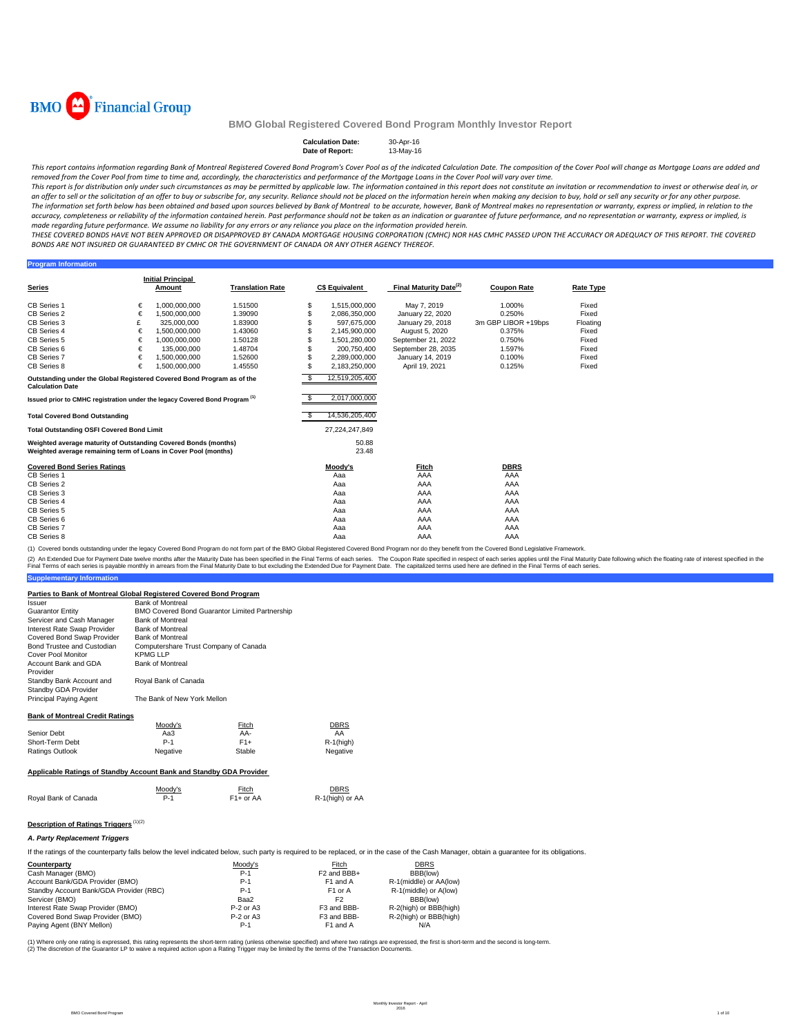

### Calculation Date: 30-Apr-16<br>Date of Report: 13-May-16 **Date of Report:**

This report contains information regarding Bank of Montreal Registered Covered Bond Program's Cover Pool as of the indicated Calculation Date. The composition of the Cover Pool will change as Mortgage Loans are added and removed from the Cover Pool from time to time and, accordinaly, the characteristics and performance of the Mortgage Loans in the Cover Pool will vary over time.

This report is for distribution only under such circumstances as may be permitted by applicable law. The information contained in this report does not constitute an invitation or recommendation to invest or otherwise deal an offer to sell or the solicitation of an offer to buy or subscribe for, any security. Reliance should not be placed on the information herein when making any decision to buy, hold or sell any security or for any other pu The information set forth below has been obtained and based upon sources believed by Bank of Montreal to be accurate, however, Bank of Montreal makes no representation or warranty, express or implied, in relation to the accuracy, completeness or reliability of the information contained herein. Past performance should not be taken as an indication or guarantee of future performance, and no representation or warranty, express or implied, is made regarding future performance. We assume no liability for any errors or any reliance you place on the information provided herein.

THESE COVERED BONDS HAVE NOT BEEN APPROVED OR DISAPPROVED BY CANADA MORTGAGE HOUSING CORPORATION (CMHC) NOR HAS CMHC PASSED UPON THE ACCURACY OR ADEQUACY OF THIS REPORT. THE COVERED BONDS ARE NOT INSURED OR GUARANTEED BY CMHC OR THE GOVERNMENT OF CANADA OR ANY OTHER AGENCY THEREOF.

#### **Program Informati**

|                                                                                        |   | <b>Initial Principal</b> |                         |     |                       |                                    |                     |                  |
|----------------------------------------------------------------------------------------|---|--------------------------|-------------------------|-----|-----------------------|------------------------------------|---------------------|------------------|
| Series                                                                                 |   | Amount                   | <b>Translation Rate</b> |     | <b>C\$ Equivalent</b> | Final Maturity Date <sup>(2)</sup> | <b>Coupon Rate</b>  | <b>Rate Type</b> |
| <b>CB Series 1</b>                                                                     | € | 1.000.000.000            | 1.51500                 | \$  | 1,515,000,000         | May 7, 2019                        | 1.000%              | Fixed            |
| CB Series 2                                                                            | € | 1.500.000.000            | 1.39090                 | \$  | 2,086,350,000         | January 22, 2020                   | 0.250%              | Fixed            |
| CB Series 3                                                                            | £ | 325,000,000              | 1.83900                 |     | 597.675.000           | January 29, 2018                   | 3m GBP LIBOR +19bps | Floating         |
| CB Series 4                                                                            | € | 1.500.000.000            | 1.43060                 |     | 2,145,900,000         | August 5, 2020                     | 0.375%              | Fixed            |
| CB Series 5                                                                            | € | 1.000.000.000            | 1.50128                 |     | 1,501,280,000         | September 21, 2022                 | 0.750%              | Fixed            |
| CB Series 6                                                                            | € | 135,000,000              | 1.48704                 |     | 200.750.400           |                                    | 1.597%              | Fixed            |
|                                                                                        |   |                          |                         | \$  |                       | September 28, 2035                 |                     |                  |
| CB Series 7                                                                            | € | 1.500.000.000            | 1.52600                 | \$  | 2,289,000,000         | January 14, 2019                   | 0.100%              | Fixed            |
| CB Series 8                                                                            | € | 1.500.000.000            | 1.45550                 |     | 2,183,250,000         | April 19, 2021                     | 0.125%              | Fixed            |
| Outstanding under the Global Registered Covered Bond Program as of the                 |   |                          |                         | -\$ | 12,519,205,400        |                                    |                     |                  |
| <b>Calculation Date</b>                                                                |   |                          |                         |     |                       |                                    |                     |                  |
| Issued prior to CMHC registration under the legacy Covered Bond Program <sup>(1)</sup> |   |                          |                         | \$. | 2,017,000,000         |                                    |                     |                  |
|                                                                                        |   |                          |                         |     |                       |                                    |                     |                  |
| <b>Total Covered Bond Outstanding</b>                                                  |   |                          |                         | \$. | 14,536,205,400        |                                    |                     |                  |
| <b>Total Outstanding OSFI Covered Bond Limit</b>                                       |   |                          |                         |     | 27.224.247.849        |                                    |                     |                  |
| Weighted average maturity of Outstanding Covered Bonds (months)                        |   |                          |                         |     | 50.88                 |                                    |                     |                  |
| Weighted average remaining term of Loans in Cover Pool (months)                        |   |                          |                         |     | 23.48                 |                                    |                     |                  |
|                                                                                        |   |                          |                         |     |                       |                                    |                     |                  |
| <b>Covered Bond Series Ratings</b>                                                     |   |                          |                         |     | Moody's               | Fitch                              | <b>DBRS</b>         |                  |
| CB Series 1                                                                            |   |                          |                         |     | Aaa                   | AAA                                | AAA                 |                  |
| CB Series 2                                                                            |   |                          |                         |     | Aaa                   | AAA                                | AAA                 |                  |
| CB Series 3                                                                            |   |                          |                         |     | Aaa                   | AAA                                | AAA                 |                  |
| CB Series 4                                                                            |   |                          |                         |     | Aaa                   | AAA                                | AAA                 |                  |
| CB Series 5                                                                            |   |                          |                         |     | Aaa                   | AAA                                | AAA                 |                  |
| CB Series 6                                                                            |   |                          |                         |     | Aaa                   | AAA                                | AAA                 |                  |
| CB Series 7                                                                            |   |                          |                         |     | Aaa                   | AAA                                | AAA                 |                  |
| CB Series 8                                                                            |   |                          |                         |     | Aaa                   | AAA                                | AAA                 |                  |

(1) Covered bonds outstanding under the legacy Covered Bond Program do not form part of the BMO Global Registered Covered Bond Program nor do they benefit from the Covered Bond Legislative Framework.

**Supplementary Infor** (2) An Extended Due for Payment Date twelve months after the Maturity Date has been specified in the Final Terms of each series. The Coupon Rate specified in the float has been but excluding the Extended Due for Payment Da

### **Parties to Bank of Montreal Global Registered Covered Bond Program**

| Issuer                                 | <b>Bank of Montreal</b>               |                                                |             |  |  |  |  |
|----------------------------------------|---------------------------------------|------------------------------------------------|-------------|--|--|--|--|
| <b>Guarantor Entity</b>                |                                       | BMO Covered Bond Guarantor Limited Partnership |             |  |  |  |  |
| Servicer and Cash Manager              | <b>Bank of Montreal</b>               |                                                |             |  |  |  |  |
| Interest Rate Swap Provider            | Bank of Montreal                      |                                                |             |  |  |  |  |
| Covered Bond Swap Provider             | <b>Bank of Montreal</b>               |                                                |             |  |  |  |  |
| Bond Trustee and Custodian             | Computershare Trust Company of Canada |                                                |             |  |  |  |  |
| <b>Cover Pool Monitor</b>              | <b>KPMG LLP</b>                       |                                                |             |  |  |  |  |
| Account Bank and GDA                   | <b>Bank of Montreal</b>               |                                                |             |  |  |  |  |
| Provider                               |                                       |                                                |             |  |  |  |  |
| Standby Bank Account and               | Royal Bank of Canada                  |                                                |             |  |  |  |  |
| Standby GDA Provider                   |                                       |                                                |             |  |  |  |  |
| Principal Paying Agent                 | The Bank of New York Mellon           |                                                |             |  |  |  |  |
|                                        |                                       |                                                |             |  |  |  |  |
| <b>Bank of Montreal Credit Ratings</b> |                                       |                                                |             |  |  |  |  |
|                                        | Moody's                               | Fitch                                          | <b>DBRS</b> |  |  |  |  |
| Senior Debt                            | Aa $3$                                | AA-                                            | AA          |  |  |  |  |
| Short-Term Debt                        | $F1+$<br>$P-1$<br>$R-1$ (high)        |                                                |             |  |  |  |  |
| <b>Ratings Outlook</b>                 | Negative<br>Stable<br>Negative        |                                                |             |  |  |  |  |

### **Applicable Ratings of Standby Account Bank and Standby GDA Provider**

|                      | Moody's | <b>Fitch</b>           | <b>DBRS</b>     |
|----------------------|---------|------------------------|-----------------|
| Royal Bank of Canada | P-1     | F <sub>1</sub> + or AA | R-1(high) or AA |

## **Description of Ratings Triggers** (1)(2)

### *A. Party Replacement Triggers*

If the ratings of the counterparty falls below the level indicated below, such party is required to be replaced, or in the case of the Cash Manager, obtain a guarantee for its obligations.

| Counterparty                            | Moodv's     | Fitch                   | <b>DBRS</b>            |
|-----------------------------------------|-------------|-------------------------|------------------------|
| Cash Manager (BMO)                      | $P-1$       | F <sub>2</sub> and BBB+ | BBB(low)               |
| Account Bank/GDA Provider (BMO)         | $P-1$       | F <sub>1</sub> and A    | R-1(middle) or AA(low) |
| Standby Account Bank/GDA Provider (RBC) | $P-1$       | F <sub>1</sub> or A     | R-1(middle) or A(low)  |
| Servicer (BMO)                          | Baa2        | F <sub>2</sub>          | BBB(low)               |
| Interest Rate Swap Provider (BMO)       | $P-2$ or A3 | F3 and BBB-             | R-2(high) or BBB(high) |
| Covered Bond Swap Provider (BMO)        | $P-2$ or A3 | F3 and BBB-             | R-2(high) or BBB(high) |
| Paying Agent (BNY Mellon)               | $P-1$       | F1 and A                | N/A                    |

(1) Where only one rating is expressed, this rating represents the short-term rating (unless othevaise specified) and where two ratings are expressed, the first is short-term and the second is long-term.<br>(2) The discretion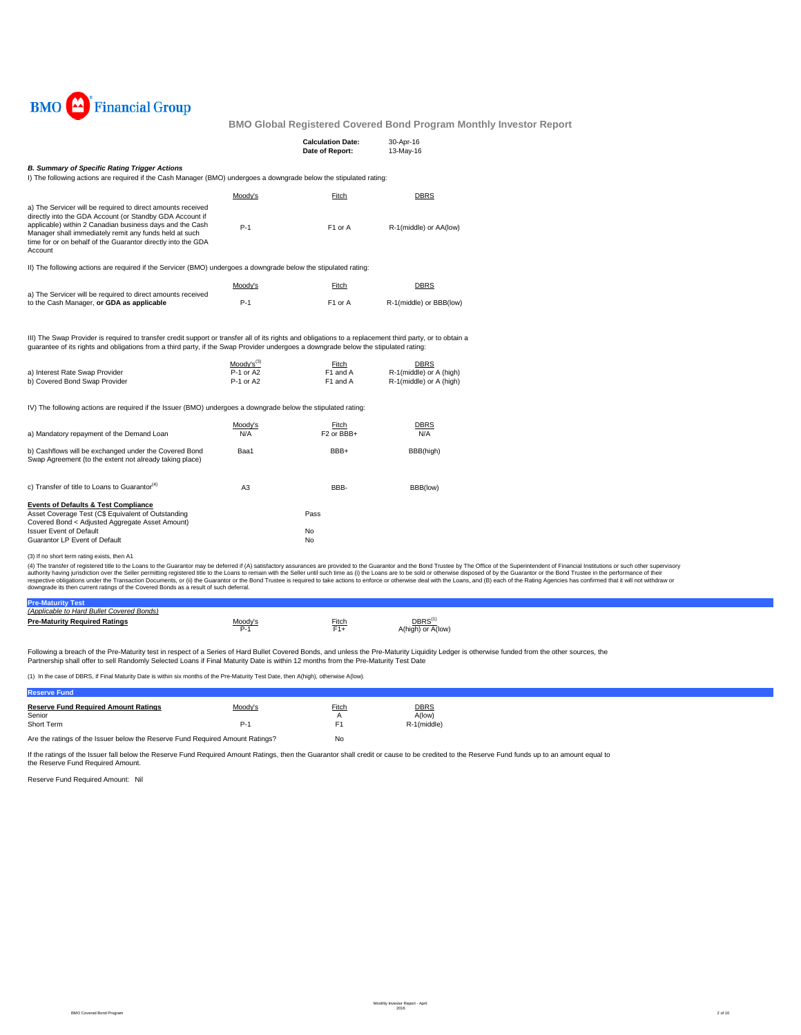

|                                                                                                                                                                                                                                                                                                                          |                                                  | <b>Calculation Date:</b><br>Date of Report: | 30-Apr-16<br>13-May-16                                            |  |  |  |  |  |
|--------------------------------------------------------------------------------------------------------------------------------------------------------------------------------------------------------------------------------------------------------------------------------------------------------------------------|--------------------------------------------------|---------------------------------------------|-------------------------------------------------------------------|--|--|--|--|--|
| <b>B. Summary of Specific Rating Trigger Actions</b>                                                                                                                                                                                                                                                                     |                                                  |                                             |                                                                   |  |  |  |  |  |
| I) The following actions are required if the Cash Manager (BMO) undergoes a downgrade below the stipulated rating:                                                                                                                                                                                                       |                                                  |                                             |                                                                   |  |  |  |  |  |
|                                                                                                                                                                                                                                                                                                                          | Moody's                                          | Fitch                                       | <b>DBRS</b>                                                       |  |  |  |  |  |
| a) The Servicer will be required to direct amounts received<br>directly into the GDA Account (or Standby GDA Account if<br>applicable) within 2 Canadian business days and the Cash<br>Manager shall immediately remit any funds held at such<br>time for or on behalf of the Guarantor directly into the GDA<br>Account | $P-1$                                            | F1 or A                                     | R-1(middle) or AA(low)                                            |  |  |  |  |  |
| II) The following actions are required if the Servicer (BMO) undergoes a downgrade below the stipulated rating:                                                                                                                                                                                                          |                                                  |                                             |                                                                   |  |  |  |  |  |
|                                                                                                                                                                                                                                                                                                                          | Moody's                                          | Fitch                                       | DBRS                                                              |  |  |  |  |  |
| a) The Servicer will be required to direct amounts received                                                                                                                                                                                                                                                              |                                                  |                                             |                                                                   |  |  |  |  |  |
| to the Cash Manager, or GDA as applicable                                                                                                                                                                                                                                                                                | $P-1$                                            | F1 or A                                     | R-1(middle) or BBB(low)                                           |  |  |  |  |  |
| quarantee of its rights and obligations from a third party, if the Swap Provider undergoes a downgrade below the stipulated rating:<br>a) Interest Rate Swap Provider<br>b) Covered Bond Swap Provider<br>IV) The following actions are required if the Issuer (BMO) undergoes a downgrade below the stipulated rating:  | Moody's <sup>(3)</sup><br>P-1 or A2<br>P-1 or A2 | Fitch<br>F1 and A<br>F1 and A               | <b>DBRS</b><br>R-1(middle) or A (high)<br>R-1(middle) or A (high) |  |  |  |  |  |
|                                                                                                                                                                                                                                                                                                                          | Moody's                                          | Fitch                                       | DBRS                                                              |  |  |  |  |  |
| a) Mandatory repayment of the Demand Loan                                                                                                                                                                                                                                                                                | N/A                                              | F <sub>2</sub> or BB <sub>H</sub>           | N/A                                                               |  |  |  |  |  |
| b) Cashflows will be exchanged under the Covered Bond<br>Swap Agreement (to the extent not already taking place)                                                                                                                                                                                                         | Baa1                                             | BBB+                                        | BBB(high)                                                         |  |  |  |  |  |
| c) Transfer of title to Loans to Guarantor <sup>(4)</sup>                                                                                                                                                                                                                                                                | A <sub>3</sub>                                   | BBB-                                        | BBB(low)                                                          |  |  |  |  |  |
| <b>Events of Defaults &amp; Test Compliance</b><br>Asset Coverage Test (C\$ Equivalent of Outstanding<br>Covered Bond < Adjusted Aggregate Asset Amount)<br><b>Issuer Event of Default</b><br>Guarantor LP Event of Default                                                                                              |                                                  | Pass<br>No<br>No                            |                                                                   |  |  |  |  |  |
|                                                                                                                                                                                                                                                                                                                          |                                                  |                                             |                                                                   |  |  |  |  |  |
| (3) If no short term rating exists, then A1<br>(4) The transfer of registered title to the Loans to the Guarantor may be deferred if (A) satisfactory assurances are provided to the Guarantor and the Bond Trustee by The Office of the Superinten                                                                      |                                                  |                                             |                                                                   |  |  |  |  |  |

(3) If no short term rating exists, then A1<br>(4) The transfer of registered title to the Luam to the Guarantor may be deferred if (A) satisfactory assurances are provided to the Guarantor and the Bond Trustee by The Office

| (Applicable to Hard Bullet Covered Bonds) |                 |              |                                          |
|-------------------------------------------|-----------------|--------------|------------------------------------------|
| <b>Pre-Maturity Required Ratings</b>      | /loody's<br>P-1 | Fitch<br>=1+ | DBRS <sup>(1)</sup><br>A(high) or A(low) |
|                                           |                 |              |                                          |

Following a breach of the Pre-Maturity test in respect of a Series of Hard Bullet Covered Bonds, and unless the Pre-Maturity Liquidity Ledger is otherwise funded from the other sources, the Partnership shall offer to sell Randomly Selected Loans if Final Maturity Date is within 12 months from the Pre-Maturity Test Date

(1) In the case of DBRS, if Final Maturity Date is within six months of the Pre-Maturity Test Date, then A(high), otherwise A(low).

| <b>Reserve Fund</b>                                                           |         |                   |                       |  |
|-------------------------------------------------------------------------------|---------|-------------------|-----------------------|--|
| <b>Reserve Fund Required Amount Ratings</b><br>Senior                         | Moody's | <b>Fitch</b><br>А | <b>DBRS</b><br>A(low) |  |
| Short Term                                                                    | $P-1$   |                   | R-1(middle)           |  |
| Are the ratings of the Issuer below the Reserve Fund Required Amount Ratings? | No      |                   |                       |  |

If the ratings of the Issuer fall below the Reserve Fund Required Amount Ratings, then the Guarantor shall credit or cause to be credited to the Reserve Fund funds up to an amount equal to<br>the Reserve Fund Required Amount.

Reserve Fund Required Amount: Nil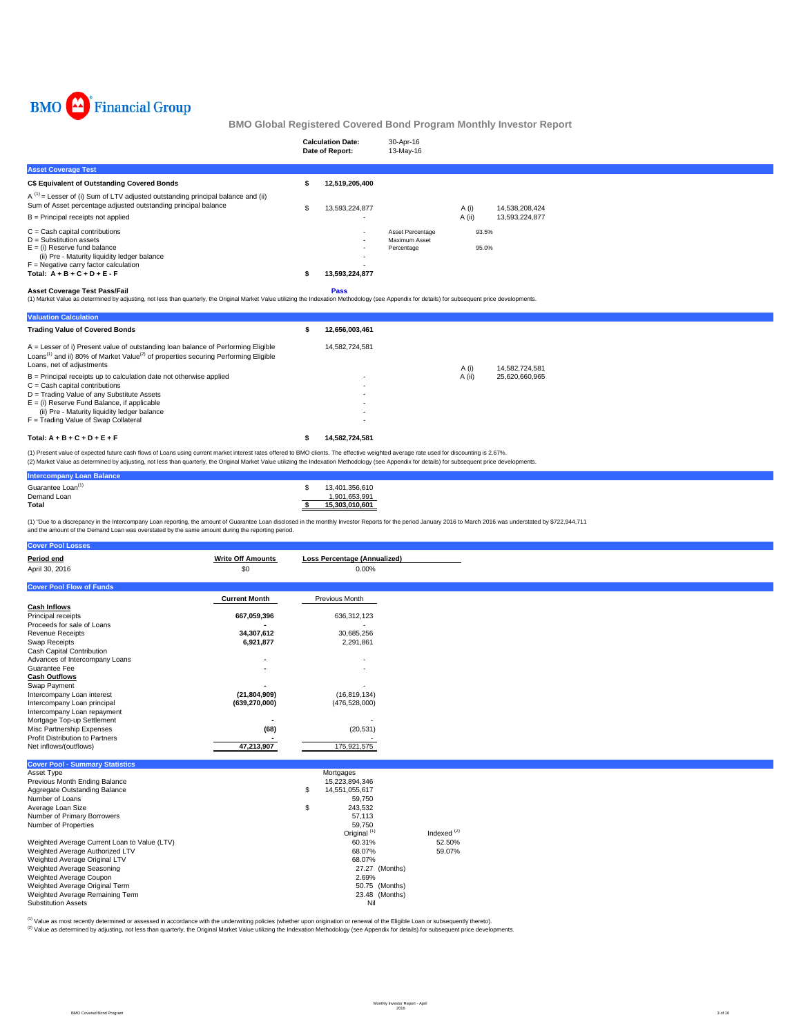

|                                                                                                                                                                                                                                                                                                                                                                                                                                                                                                                                                                                                                                                                            | <b>Calculation Date:</b><br>Date of Report: | 30-Apr-16<br>13-May-16                          |                                  |                                  |
|----------------------------------------------------------------------------------------------------------------------------------------------------------------------------------------------------------------------------------------------------------------------------------------------------------------------------------------------------------------------------------------------------------------------------------------------------------------------------------------------------------------------------------------------------------------------------------------------------------------------------------------------------------------------------|---------------------------------------------|-------------------------------------------------|----------------------------------|----------------------------------|
| <b>Asset Coverage Test</b>                                                                                                                                                                                                                                                                                                                                                                                                                                                                                                                                                                                                                                                 |                                             |                                                 |                                  |                                  |
| C\$ Equivalent of Outstanding Covered Bonds                                                                                                                                                                                                                                                                                                                                                                                                                                                                                                                                                                                                                                | 12,519,205,400                              |                                                 |                                  |                                  |
| $A^{(1)}$ = Lesser of (i) Sum of LTV adjusted outstanding principal balance and (ii)<br>Sum of Asset percentage adjusted outstanding principal balance<br>B = Principal receipts not applied<br>$C =$ Cash capital contributions<br>$D =$ Substitution assets<br>$E =$ (i) Reserve fund balance<br>(ii) Pre - Maturity liquidity ledger balance<br>$F =$ Negative carry factor calculation<br>Total: $A + B + C + D + E - F$<br><b>Asset Coverage Test Pass/Fail</b><br>(1) Market Value as determined by adjusting, not less than quarterly, the Original Market Value utilizing the Indexation Methodology (see Appendix for details) for subsequent price developments. | 13,593,224,877<br>13,593,224,877<br>Pass    | Asset Percentage<br>Maximum Asset<br>Percentage | A(i)<br>A (ii)<br>93.5%<br>95.0% | 14,538,208,424<br>13,593,224,877 |
| <b>Valuation Calculation</b>                                                                                                                                                                                                                                                                                                                                                                                                                                                                                                                                                                                                                                               |                                             |                                                 |                                  |                                  |
| <b>Trading Value of Covered Bonds</b>                                                                                                                                                                                                                                                                                                                                                                                                                                                                                                                                                                                                                                      | 12,656,003,461                              |                                                 |                                  |                                  |
| A = Lesser of i) Present value of outstanding loan balance of Performing Eligible<br>Loans <sup>(1)</sup> and ii) 80% of Market Value <sup>(2)</sup> of properties securing Performing Eligible<br>Loans, net of adjustments<br>B = Principal receipts up to calculation date not otherwise applied<br>$C =$ Cash capital contributions<br>D = Trading Value of any Substitute Assets<br>$E = (i)$ Reserve Fund Balance, if applicable<br>(ii) Pre - Maturity liquidity ledger balance<br>F = Trading Value of Swap Collateral                                                                                                                                             | 14,582,724,581                              |                                                 | A (i)<br>$A$ (ii)                | 14,582,724,581<br>25,620,660,965 |
| Total: $A + B + C + D + E + F$                                                                                                                                                                                                                                                                                                                                                                                                                                                                                                                                                                                                                                             | 14,582,724,581                              |                                                 |                                  |                                  |

(2) Market Value as determined by adjusting, not less than quarterly, the Original Market Value utilizing the Indexation Methodology (see Appendix for details) for subsequent price developments. (1) Present value of expected future cash flows of Loans using current market interest rates offered to BMO clients. The effective weighted average rate used for discounting is 2.67%.

| ______<br>___                    |                |
|----------------------------------|----------------|
| <b>Intercompany Loan Balance</b> |                |
| Guarantee Loan <sup>(1)</sup>    | 13,401,356,610 |
|                                  | ,901,653,991   |
| Demand Loan<br>Total             | 15.303.010.601 |
|                                  |                |

(1) "Due to a discrepancy in the Intercompany Loan reporting, the amount of Guarantee Loan disclosed in the monthly Investor Reports for the period January 2016 to March 2016 was understated by \$722,944,711

| and the amount of the Demand Loan was overstated by the same amount during the reporting period. |  |
|--------------------------------------------------------------------------------------------------|--|
|                                                                                                  |  |

| <b>Cover Pool Losses</b>                     |                          |    |                              |                        |  |
|----------------------------------------------|--------------------------|----|------------------------------|------------------------|--|
| Period end                                   | <b>Write Off Amounts</b> |    | Loss Percentage (Annualized) |                        |  |
| April 30, 2016                               | \$0                      |    | 0.00%                        |                        |  |
|                                              |                          |    |                              |                        |  |
| <b>Cover Pool Flow of Funds</b>              |                          |    |                              |                        |  |
|                                              | <b>Current Month</b>     |    | Previous Month               |                        |  |
| <b>Cash Inflows</b>                          |                          |    |                              |                        |  |
| Principal receipts                           | 667,059,396              |    | 636,312,123                  |                        |  |
| Proceeds for sale of Loans                   |                          |    |                              |                        |  |
| <b>Revenue Receipts</b>                      | 34,307,612               |    | 30,685,256                   |                        |  |
| Swap Receipts                                | 6,921,877                |    | 2,291,861                    |                        |  |
| Cash Capital Contribution                    |                          |    |                              |                        |  |
| Advances of Intercompany Loans               |                          |    |                              |                        |  |
| Guarantee Fee                                |                          |    |                              |                        |  |
| <b>Cash Outflows</b>                         |                          |    |                              |                        |  |
| Swap Payment                                 |                          |    |                              |                        |  |
| Intercompany Loan interest                   | (21, 804, 909)           |    | (16, 819, 134)               |                        |  |
| Intercompany Loan principal                  | (639, 270, 000)          |    | (476, 528, 000)              |                        |  |
| Intercompany Loan repayment                  |                          |    |                              |                        |  |
| Mortgage Top-up Settlement                   | ۰                        |    |                              |                        |  |
| Misc Partnership Expenses                    | (68)                     |    | (20, 531)                    |                        |  |
| Profit Distribution to Partners              |                          |    |                              |                        |  |
| Net inflows/(outflows)                       | 47,213,907               |    | 175,921,575                  |                        |  |
|                                              |                          |    |                              |                        |  |
| <b>Cover Pool - Summary Statistics</b>       |                          |    |                              |                        |  |
| Asset Type                                   |                          |    | Mortgages                    |                        |  |
| Previous Month Ending Balance                |                          |    | 15,223,894,346               |                        |  |
| Aggregate Outstanding Balance                |                          | S  | 14,551,055,617               |                        |  |
| Number of Loans                              |                          |    | 59,750                       |                        |  |
| Average Loan Size                            |                          | \$ | 243,532                      |                        |  |
| Number of Primary Borrowers                  |                          |    | 57,113                       |                        |  |
| Number of Properties                         |                          |    | 59,750                       |                        |  |
|                                              |                          |    | Original <sup>(1)</sup>      | Indexed <sup>(2)</sup> |  |
| Weighted Average Current Loan to Value (LTV) |                          |    | 60.31%                       | 52.50%                 |  |
| Weighted Average Authorized LTV              |                          |    | 68.07%                       | 59.07%                 |  |

| Weighted Average Authorized LTV | 68.07%            |
|---------------------------------|-------------------|
| Weighted Average Original LTV   | 68.07%            |
| Weighted Average Seasoning      | (Months)<br>27.27 |
| Weighted Average Coupon         | 2.69%             |
| Weighted Average Original Term  | 50.75 (Months)    |
| Weighted Average Remaining Term | 23.48 (Months)    |
| Substitution Assets             | Nil               |

<sup>(1)</sup> Value as most recently determined or assessed in accordance with the underwriting policies (whether upon origination or renewal of the Eligible Loan or subsequently thereto).<br><sup>(2)</sup> Value as determined by adjusting, n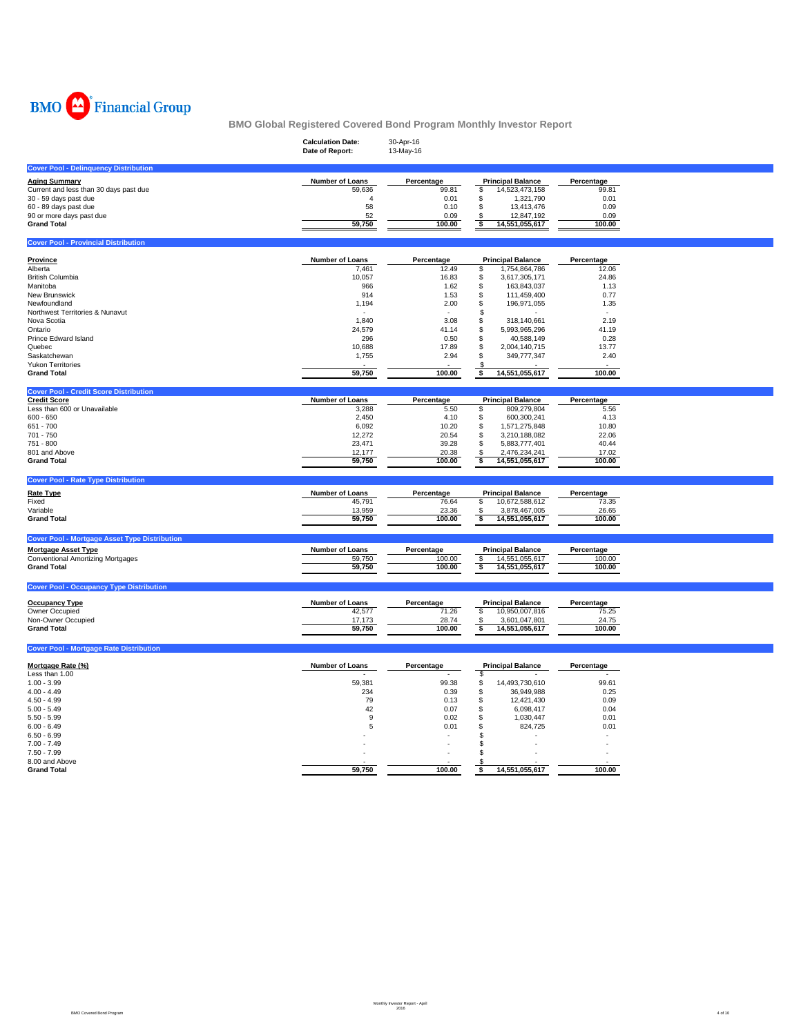

|                                                      | <b>Calculation Date:</b><br>Date of Report: | 30-Apr-16<br>13-May-16 |                                             |                 |  |
|------------------------------------------------------|---------------------------------------------|------------------------|---------------------------------------------|-----------------|--|
| <b>Cover Pool - Delinquency Distribution</b>         |                                             |                        |                                             |                 |  |
| <b>Aging Summary</b>                                 | Number of Loans                             | Percentage             | <b>Principal Balance</b>                    | Percentage      |  |
| Current and less than 30 days past due               | 59,636                                      | 99.81                  | \$<br>14,523,473,158                        | 99.81           |  |
| 30 - 59 days past due                                | 4                                           | 0.01                   | \$<br>1,321,790                             | 0.01            |  |
| 60 - 89 days past due                                | 58                                          | 0.10                   | \$<br>13,413,476                            | 0.09            |  |
| 90 or more days past due                             | 52<br>59,750                                | 0.09                   | \$<br>12,847,192                            | 0.09            |  |
| <b>Grand Total</b>                                   |                                             | 100.00                 | \$<br>14,551,055,617                        | 100.00          |  |
| <b>Cover Pool - Provincial Distribution</b>          |                                             |                        |                                             |                 |  |
| Province                                             | Number of Loans                             | Percentage             | <b>Principal Balance</b>                    | Percentage      |  |
| Alberta                                              | 7,461                                       | 12.49                  | 1,754,864,786<br>\$                         | 12.06           |  |
| <b>British Columbia</b>                              | 10,057                                      | 16.83                  | \$<br>3,617,305,171                         | 24.86           |  |
| Manitoba                                             | 966                                         | 1.62                   | \$<br>163,843,037                           | 1.13            |  |
| New Brunswick                                        | 914                                         | 1.53                   | \$<br>111,459,400                           | 0.77            |  |
| Newfoundland                                         | 1,194                                       | 2.00                   | \$<br>196,971,055                           | 1.35            |  |
| Northwest Territories & Nunavut                      |                                             |                        | \$                                          |                 |  |
| Nova Scotia                                          | 1,840                                       | 3.08                   | \$<br>318,140,661                           | 2.19            |  |
| Ontario<br>Prince Edward Island                      | 24,579                                      | 41.14<br>0.50          | \$<br>5,993,965,296<br>40,588,149           | 41.19<br>0.28   |  |
| Quebec                                               | 296<br>10,688                               | 17.89                  | \$<br>\$<br>2,004,140,715                   | 13.77           |  |
| Saskatchewan                                         | 1,755                                       | 2.94                   | \$<br>349,777,347                           | 2.40            |  |
| <b>Yukon Territories</b>                             |                                             |                        | \$                                          |                 |  |
| <b>Grand Total</b>                                   | 59,750                                      | 100.00                 | 14,551,055,617<br>\$                        | 100.00          |  |
| <b>Cover Pool - Credit Score Distribution</b>        |                                             |                        |                                             |                 |  |
| <b>Credit Score</b>                                  | <b>Number of Loans</b>                      | Percentage             | <b>Principal Balance</b>                    | Percentage      |  |
| Less than 600 or Unavailable                         | 3,288                                       | 5.50                   | 809,279,804<br>\$                           | 5.56            |  |
| $600 - 650$                                          | 2,450                                       | 4.10                   | \$<br>600,300,241                           | 4.13            |  |
| 651 - 700                                            | 6,092                                       | 10.20                  | \$<br>1,571,275,848                         | 10.80           |  |
| 701 - 750                                            | 12,272                                      | 20.54                  | \$<br>3,210,188,082                         | 22.06           |  |
| 751 - 800<br>801 and Above                           | 23,471<br>12,177                            | 39.28<br>20.38         | \$<br>5,883,777,401<br>\$<br>2,476,234,241  | 40.44<br>17.02  |  |
| <b>Grand Total</b>                                   | 59,750                                      | 100.00                 | \$<br>14,551,055,617                        | 100.00          |  |
|                                                      |                                             |                        |                                             |                 |  |
| <b>Cover Pool - Rate Type Distribution</b>           |                                             |                        |                                             |                 |  |
| <b>Rate Type</b>                                     | Number of Loans                             | Percentage             | <b>Principal Balance</b>                    | Percentage      |  |
| Fixed                                                | 45,791                                      | 76.64                  | \$<br>10,672,588,612                        | 73.35           |  |
| Variable                                             | 13,959                                      | 23.36                  | 3,878,467,005<br>\$                         | 26.65           |  |
| <b>Grand Total</b>                                   | 59,750                                      | 100.00                 | \$<br>14,551,055,617                        | 100.00          |  |
| <b>Cover Pool - Mortgage Asset Type Distribution</b> |                                             |                        |                                             |                 |  |
| <b>Mortgage Asset Type</b>                           | Number of Loans                             | Percentage             | <b>Principal Balance</b>                    | Percentage      |  |
| <b>Conventional Amortizing Mortgages</b>             | 59,750                                      | 100.00                 | \$<br>14,551,055,617                        | 100.00          |  |
| <b>Grand Total</b>                                   | 59,750                                      | 100.00                 | \$<br>14,551,055,617                        | 100.00          |  |
| <b>Cover Pool - Occupancy Type Distribution</b>      |                                             |                        |                                             |                 |  |
|                                                      |                                             |                        |                                             |                 |  |
| <b>Occupancy Type</b>                                | Number of Loans                             | Percentage             | <b>Principal Balance</b>                    | Percentage      |  |
| Owner Occupied<br>Non-Owner Occupied                 | 42,577                                      | 71.26                  | \$<br>10,950,007,816                        | 75.25           |  |
| <b>Grand Total</b>                                   | 17,173<br>59,750                            | 28.74<br>100.00        | \$<br>3,601,047,801<br>14,551,055,617<br>\$ | 24.75<br>100.00 |  |
|                                                      |                                             |                        |                                             |                 |  |
| <b>Cover Pool - Mortgage Rate Distribution</b>       |                                             |                        |                                             |                 |  |
| Mortgage Rate (%)                                    | Number of Loans                             | Percentage             | <b>Principal Balance</b>                    | Percentage      |  |
| Less than 1.00                                       |                                             |                        | \$                                          |                 |  |
| $1.00 - 3.99$                                        | 59,381                                      | 99.38                  | \$<br>14,493,730,610                        | 99.61           |  |
| $4.00 - 4.49$                                        | 234                                         | 0.39                   | \$<br>36,949,988                            | 0.25            |  |
| $4.50 - 4.99$                                        | 79                                          | 0.13                   | \$<br>12,421,430                            | 0.09            |  |
| $5.00 - 5.49$                                        | 42                                          | 0.07                   | \$<br>6,098,417                             | 0.04            |  |
| $5.50 - 5.99$                                        | 9                                           | 0.02                   | \$<br>1,030,447                             | 0.01            |  |
| $6.00 - 6.49$                                        | 5                                           | 0.01                   | \$<br>824,725<br>\$                         | 0.01            |  |
| $6.50 - 6.99$<br>$7.00 - 7.49$                       |                                             |                        | \$                                          |                 |  |
| $7.50 - 7.99$                                        |                                             |                        | \$                                          |                 |  |
| 8.00 and Above                                       |                                             |                        | \$                                          |                 |  |
| <b>Grand Total</b>                                   | 59,750                                      | 100.00                 | \$<br>14,551,055,617                        | 100.00          |  |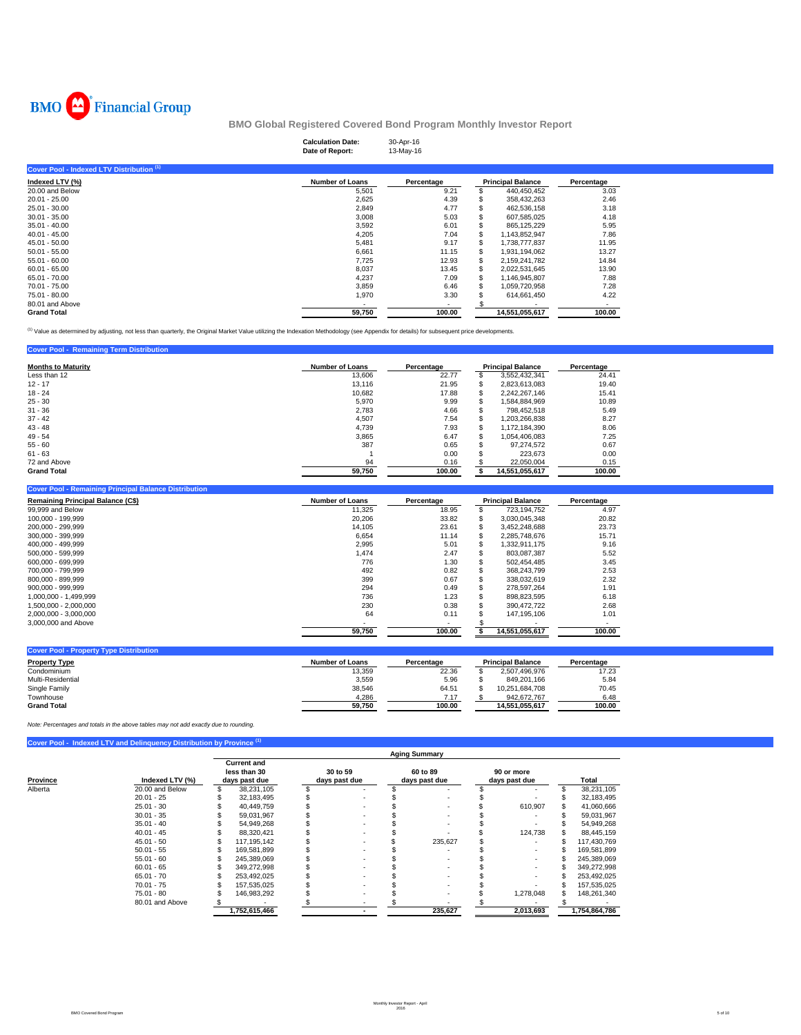

| <b>Calculation Date:</b> | 30-Apr-16 |
|--------------------------|-----------|
| Date of Report:          | 13-May-16 |

| Cover Pool - Indexed LTV Distribution <sup>(1)</sup> |                        |            |    |                          |            |
|------------------------------------------------------|------------------------|------------|----|--------------------------|------------|
| Indexed LTV (%)                                      | <b>Number of Loans</b> | Percentage |    | <b>Principal Balance</b> | Percentage |
| 20.00 and Below                                      | 5,501                  | 9.21       |    | 440,450,452              | 3.03       |
| $20.01 - 25.00$                                      | 2,625                  | 4.39       |    | 358,432,263              | 2.46       |
| $25.01 - 30.00$                                      | 2,849                  | 4.77       |    | 462,536,158              | 3.18       |
| $30.01 - 35.00$                                      | 3,008                  | 5.03       | S. | 607.585.025              | 4.18       |
| $35.01 - 40.00$                                      | 3,592                  | 6.01       |    | 865.125.229              | 5.95       |
| $40.01 - 45.00$                                      | 4,205                  | 7.04       | \$ | 1,143,852,947            | 7.86       |
| $45.01 - 50.00$                                      | 5.481                  | 9.17       | \$ | 1.738.777.837            | 11.95      |
| $50.01 - 55.00$                                      | 6.661                  | 11.15      | \$ | 1.931.194.062            | 13.27      |
| $55.01 - 60.00$                                      | 7.725                  | 12.93      | \$ | 2.159.241.782            | 14.84      |
| $60.01 - 65.00$                                      | 8,037                  | 13.45      | \$ | 2,022,531,645            | 13.90      |
| 65.01 - 70.00                                        | 4,237                  | 7.09       | \$ | 1.146.945.807            | 7.88       |
| 70.01 - 75.00                                        | 3,859                  | 6.46       | \$ | 1,059,720,958            | 7.28       |
| 75.01 - 80.00                                        | 1,970                  | 3.30       |    | 614,661,450              | 4.22       |
| 80.01 and Above                                      |                        |            |    |                          | ۰          |
| <b>Grand Total</b>                                   | 59,750                 | 100.00     |    | 14.551.055.617           | 100.00     |

<sup>(1)</sup> Value as determined by adjusting, not less than quarterly, the Original Market Value utilizing the Indexation Methodology (see Appendix for details) for subsequent price developments.

## **Cover Pool - Remaining Term Distribution**

| <b>Months to Maturity</b> | <b>Number of Loans</b> | Percentage | <b>Principal Balance</b> |                | Percentage |
|---------------------------|------------------------|------------|--------------------------|----------------|------------|
| Less than 12              | 13,606                 | 22.77      |                          | 3,552,432,341  | 24.41      |
| $12 - 17$                 | 13,116                 | 21.95      |                          | 2,823,613,083  | 19.40      |
| $18 - 24$                 | 10.682                 | 17.88      | Э'n                      | 2.242.267.146  | 15.41      |
| $25 - 30$                 | 5,970                  | 9.99       |                          | ,584,884,969   | 10.89      |
| $31 - 36$                 | 2,783                  | 4.66       |                          | 798.452.518    | 5.49       |
| $37 - 42$                 | 4,507                  | 7.54       |                          | .203.266.838   | 8.27       |
| $43 - 48$                 | 4.739                  | 7.93       |                          | 1.172.184.390  | 8.06       |
| $49 - 54$                 | 3.865                  | 6.47       |                          | 1.054.406.083  | 7.25       |
| $55 - 60$                 | 387                    | 0.65       |                          | 97.274.572     | 0.67       |
| $61 - 63$                 |                        | 0.00       |                          | 223,673        | 0.00       |
| 72 and Above              | 94                     | 0.16       |                          | 22,050,004     | 0.15       |
| <b>Grand Total</b>        | 59.750                 | 100.00     |                          | 14.551.055.617 | 100.00     |

#### **Cover Pool - Remaining Principal Balance Distribution**

| <b>Remaining Principal Balance (C\$)</b> | <b>Number of Loans</b> | Percentage | <b>Principal Balance</b> |                | Percentage |
|------------------------------------------|------------------------|------------|--------------------------|----------------|------------|
| 99,999 and Below                         | 11.325                 | 18.95      |                          | 723.194.752    | 4.97       |
| 100.000 - 199.999                        | 20,206                 | 33.82      |                          | 3.030.045.348  | 20.82      |
| 200.000 - 299.999                        | 14.105                 | 23.61      |                          | 3.452.248.688  | 23.73      |
| 300.000 - 399.999                        | 6.654                  | 11.14      |                          | 2.285.748.676  | 15.71      |
| 400.000 - 499.999                        | 2.995                  | 5.01       |                          | 1,332,911,175  | 9.16       |
| 500.000 - 599.999                        | 1,474                  | 2.47       |                          | 803.087.387    | 5.52       |
| 600.000 - 699.999                        | 776                    | 1.30       |                          | 502.454.485    | 3.45       |
| 700.000 - 799.999                        | 492                    | 0.82       |                          | 368.243.799    | 2.53       |
| 800.000 - 899.999                        | 399                    | 0.67       |                          | 338.032.619    | 2.32       |
| 900.000 - 999.999                        | 294                    | 0.49       |                          | 278.597.264    | 1.91       |
| 1.000.000 - 1.499.999                    | 736                    | 1.23       |                          | 898.823.595    | 6.18       |
| 1.500.000 - 2.000.000                    | 230                    | 0.38       |                          | 390.472.722    | 2.68       |
| 2,000,000 - 3,000,000                    | 64                     | 0.11       |                          | 147.195.106    | 1.01       |
| 3,000,000 and Above                      |                        | ۰          |                          |                |            |
|                                          | 59.750                 | 100.00     |                          | 14.551.055.617 | 100.00     |

| Number of Loans | Percentage |                |                | Percentage               |
|-----------------|------------|----------------|----------------|--------------------------|
| 13.359          | 22.36      |                | 2.507.496.976  | 17.23                    |
| 3.559           | 5.96       |                | 849.201.166    | 5.84                     |
| 38.546          | 64.51      |                | 10.251.684.708 | 70.45                    |
| 4.286           | 7.17       |                | 942.672.767    | 6.48                     |
| 59.750          | 100.00     | 14.551.055.617 |                | 100.00                   |
|                 |            |                |                | <b>Principal Balance</b> |

**Cover Pool - Indexed LTV and Delinquency Distribution by Province** *Note: Percentages and totals in the above tables may not add exactly due to rounding.*

|          |                 | <b>Aging Summary</b>                                |               |                           |  |  |                           |  |                             |  |               |  |  |
|----------|-----------------|-----------------------------------------------------|---------------|---------------------------|--|--|---------------------------|--|-----------------------------|--|---------------|--|--|
| Province | Indexed LTV (%) | <b>Current and</b><br>less than 30<br>days past due |               | 30 to 59<br>days past due |  |  | 60 to 89<br>days past due |  | 90 or more<br>days past due |  | Total         |  |  |
| Alberta  | 20.00 and Below |                                                     | 38,231,105    |                           |  |  |                           |  | ٠                           |  | 38,231,105    |  |  |
|          | $20.01 - 25$    |                                                     | 32.183.495    |                           |  |  |                           |  |                             |  | 32,183,495    |  |  |
|          | $25.01 - 30$    |                                                     | 40,449,759    |                           |  |  |                           |  | 610.907                     |  | 41,060,666    |  |  |
|          | $30.01 - 35$    |                                                     | 59,031,967    |                           |  |  |                           |  | ٠                           |  | 59,031,967    |  |  |
|          | $35.01 - 40$    |                                                     | 54.949.268    |                           |  |  |                           |  |                             |  | 54.949.268    |  |  |
|          | $40.01 - 45$    |                                                     | 88,320,421    |                           |  |  |                           |  | 124,738                     |  | 88,445,159    |  |  |
|          | $45.01 - 50$    |                                                     | 117.195.142   |                           |  |  | 235.627                   |  | ٠                           |  | 117,430,769   |  |  |
|          | $50.01 - 55$    |                                                     | 169.581.899   |                           |  |  |                           |  |                             |  | 169,581,899   |  |  |
|          | $55.01 - 60$    |                                                     | 245.389.069   |                           |  |  |                           |  | ٠                           |  | 245,389,069   |  |  |
|          | $60.01 - 65$    |                                                     | 349,272,998   |                           |  |  |                           |  | ۰                           |  | 349,272,998   |  |  |
|          | $65.01 - 70$    |                                                     | 253.492.025   |                           |  |  |                           |  | ۰                           |  | 253,492,025   |  |  |
|          | $70.01 - 75$    |                                                     | 157.535.025   |                           |  |  |                           |  |                             |  | 157,535,025   |  |  |
|          | $75.01 - 80$    |                                                     | 146,983,292   |                           |  |  |                           |  | 1,278,048                   |  | 148,261,340   |  |  |
|          | 80.01 and Above |                                                     |               |                           |  |  |                           |  |                             |  |               |  |  |
|          |                 |                                                     | 1,752,615,466 |                           |  |  | 235,627                   |  | 2,013,693                   |  | 1,754,864,786 |  |  |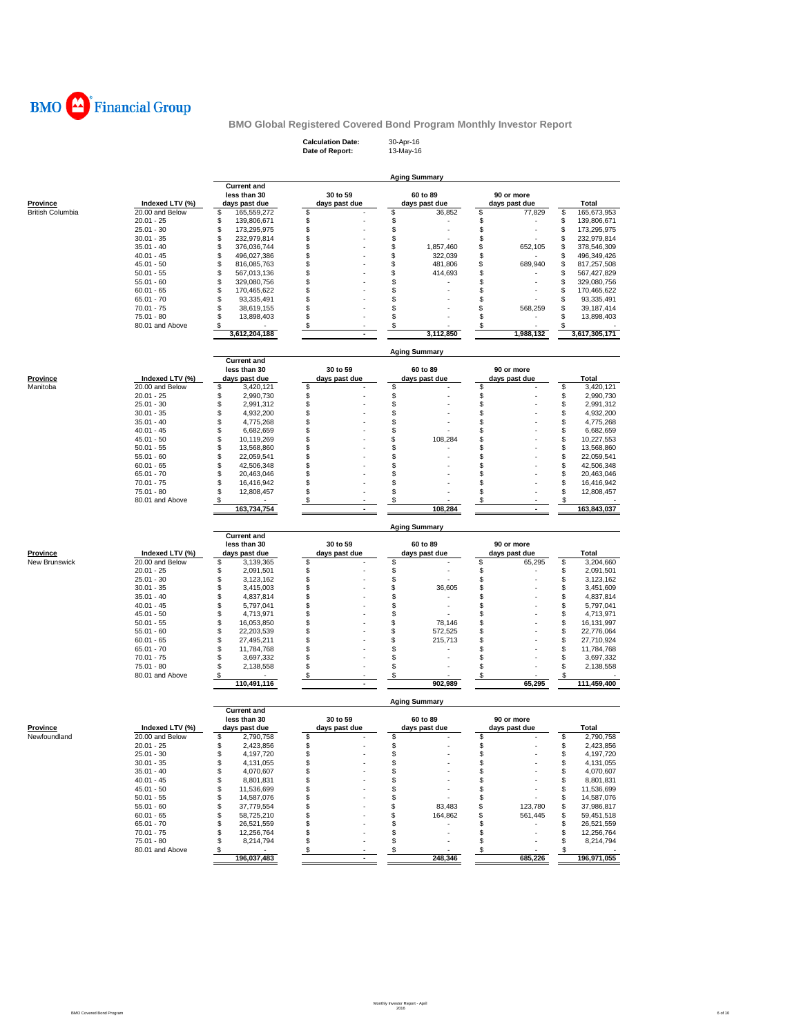

**Calculation Date:** 30-Apr-16 **Date of Report:** 13-May-16

|                         |                 | <b>Aging Summary</b>               |                           |                      |               |                    |  |  |  |  |  |  |  |
|-------------------------|-----------------|------------------------------------|---------------------------|----------------------|---------------|--------------------|--|--|--|--|--|--|--|
|                         |                 | <b>Current and</b><br>less than 30 | 30 to 59                  | 60 to 89             | 90 or more    |                    |  |  |  |  |  |  |  |
| Province                | Indexed LTV (%) | days past due                      | days past due             | days past due        | days past due | <b>Total</b>       |  |  |  |  |  |  |  |
| <b>British Columbia</b> | 20.00 and Below | 165,559,272<br>\$                  | \$                        | \$<br>36,852         | \$<br>77,829  | \$<br>165,673,953  |  |  |  |  |  |  |  |
|                         | $20.01 - 25$    | \$<br>139,806,671                  | \$                        | \$                   | \$            | \$<br>139,806,671  |  |  |  |  |  |  |  |
|                         | $25.01 - 30$    | \$<br>173,295,975                  | \$                        | \$                   | \$            | \$<br>173,295,975  |  |  |  |  |  |  |  |
|                         | $30.01 - 35$    | \$<br>232.979.814                  | \$                        | \$                   | \$            | \$<br>232,979,814  |  |  |  |  |  |  |  |
|                         | $35.01 - 40$    | \$<br>376,036,744                  | \$                        | \$<br>1.857.460      | \$<br>652,105 | \$<br>378,546,309  |  |  |  |  |  |  |  |
|                         | $40.01 - 45$    | \$<br>496,027,386                  | \$                        | \$<br>322,039        | \$            | \$<br>496,349,426  |  |  |  |  |  |  |  |
|                         | $45.01 - 50$    | \$<br>816,085,763                  | \$                        | \$<br>481,806        | \$<br>689,940 | \$<br>817,257,508  |  |  |  |  |  |  |  |
|                         | $50.01 - 55$    | \$<br>567,013,136                  | \$                        | \$<br>414,693        | \$            | \$<br>567,427,829  |  |  |  |  |  |  |  |
|                         | $55.01 - 60$    | \$<br>329,080,756                  | \$                        | \$                   | \$            | \$<br>329,080,756  |  |  |  |  |  |  |  |
|                         | $60.01 - 65$    | \$<br>170,465,622                  | \$                        | \$                   | \$            | \$<br>170,465,622  |  |  |  |  |  |  |  |
|                         | $65.01 - 70$    | \$<br>93,335,491                   | \$                        | \$                   | \$            | \$<br>93,335,491   |  |  |  |  |  |  |  |
|                         | $70.01 - 75$    | \$<br>38,619,155                   | \$                        | \$                   | \$<br>568,259 | \$<br>39, 187, 414 |  |  |  |  |  |  |  |
|                         | 75.01 - 80      | \$<br>13,898,403                   | \$                        | \$                   | \$            | \$<br>13,898,403   |  |  |  |  |  |  |  |
|                         | 80.01 and Above | \$                                 | \$                        | \$                   | \$            | \$                 |  |  |  |  |  |  |  |
|                         |                 | 3,612,204,188                      | $\overline{a}$            | 3,112,850            | 1,988,132     | 3,617,305,171      |  |  |  |  |  |  |  |
|                         |                 |                                    |                           | <b>Aging Summary</b> |               |                    |  |  |  |  |  |  |  |
|                         |                 | <b>Current and</b><br>less than 30 | 30 to 59                  | 60 to 89             | 90 or more    |                    |  |  |  |  |  |  |  |
| Province                | Indexed LTV (%) | days past due                      | days past due             | days past due        | days past due | <b>Total</b>       |  |  |  |  |  |  |  |
|                         |                 |                                    |                           |                      |               | \$                 |  |  |  |  |  |  |  |
| Manitoba                | 20.00 and Below | \$<br>3,420,121                    | \$                        | \$                   | \$            | 3,420,121          |  |  |  |  |  |  |  |
|                         | $20.01 - 25$    | \$<br>2,990,730                    | \$                        | \$                   | \$            | \$<br>2,990,730    |  |  |  |  |  |  |  |
|                         | $25.01 - 30$    | \$<br>2,991,312                    | \$                        | \$                   | \$            | \$<br>2,991,312    |  |  |  |  |  |  |  |
|                         | $30.01 - 35$    | \$<br>4,932,200                    | \$                        | \$                   | \$            | \$<br>4,932,200    |  |  |  |  |  |  |  |
|                         | $35.01 - 40$    | \$<br>4,775,268                    | \$                        | \$                   | \$            | \$<br>4,775,268    |  |  |  |  |  |  |  |
|                         | $40.01 - 45$    | \$<br>6,682,659                    | \$                        | \$                   | \$            | \$<br>6,682,659    |  |  |  |  |  |  |  |
|                         | $45.01 - 50$    | \$<br>10,119,269                   | \$                        | 108,284<br>\$        | \$            | \$<br>10,227,553   |  |  |  |  |  |  |  |
|                         | $50.01 - 55$    | \$<br>13,568,860                   | \$                        | \$                   | \$            | \$<br>13,568,860   |  |  |  |  |  |  |  |
|                         | $55.01 - 60$    | \$<br>22,059,541                   | \$                        | \$                   | \$            | \$<br>22,059,541   |  |  |  |  |  |  |  |
|                         | $60.01 - 65$    | \$<br>42,506,348                   | \$                        | \$                   | \$            | \$<br>42,506,348   |  |  |  |  |  |  |  |
|                         | $65.01 - 70$    | \$<br>20,463,046                   | \$                        | \$                   | \$            | \$<br>20,463,046   |  |  |  |  |  |  |  |
|                         | $70.01 - 75$    | \$<br>16,416,942                   | \$                        | \$                   | \$            | \$<br>16,416,942   |  |  |  |  |  |  |  |
|                         | $75.01 - 80$    | \$<br>12,808,457                   | \$                        | \$                   | \$            | \$<br>12,808,457   |  |  |  |  |  |  |  |
|                         | 80.01 and Above | \$                                 | \$                        | \$                   | \$            | \$                 |  |  |  |  |  |  |  |
|                         |                 | 163,734,754                        | $\blacksquare$            | 108,284              |               | 163,843,037        |  |  |  |  |  |  |  |
|                         |                 |                                    |                           | <b>Aging Summary</b> |               |                    |  |  |  |  |  |  |  |
|                         |                 | <b>Current and</b><br>less than 30 | 30 to 59                  | 60 to 89             | 90 or more    |                    |  |  |  |  |  |  |  |
| <b>Province</b>         | Indexed LTV (%) | days past due                      | days past due             | days past due        | days past due | <b>Total</b>       |  |  |  |  |  |  |  |
| New Brunswick           | 20.00 and Below | \$<br>3,139,365                    | \$                        | \$                   | \$<br>65,295  | \$<br>3,204,660    |  |  |  |  |  |  |  |
|                         | $20.01 - 25$    | \$<br>2,091,501                    | \$                        | \$                   | \$            | \$<br>2,091,501    |  |  |  |  |  |  |  |
|                         | $25.01 - 30$    | \$<br>3,123,162                    | \$                        | \$                   | \$            | \$<br>3,123,162    |  |  |  |  |  |  |  |
|                         | $30.01 - 35$    | \$<br>3,415,003                    | \$                        | \$<br>36,605         | \$            | \$<br>3,451,609    |  |  |  |  |  |  |  |
|                         | $35.01 - 40$    | \$<br>4,837,814                    | \$                        | \$                   | \$            | \$<br>4,837,814    |  |  |  |  |  |  |  |
|                         | $40.01 - 45$    | \$<br>5,797,041                    | \$                        | \$                   | \$            | \$<br>5,797,041    |  |  |  |  |  |  |  |
|                         | $45.01 - 50$    | \$<br>4,713,971                    | \$                        | \$                   | \$            | \$<br>4,713,971    |  |  |  |  |  |  |  |
|                         | $50.01 - 55$    | \$<br>16,053,850                   | \$                        | \$<br>78,146         | \$            | \$<br>16,131,997   |  |  |  |  |  |  |  |
|                         | $55.01 - 60$    | \$<br>22,203,539                   | \$                        | \$<br>572,525        | \$            | \$<br>22,776,064   |  |  |  |  |  |  |  |
|                         | $60.01 - 65$    | \$<br>27,495,211                   | \$                        | \$<br>215,713        | \$            | \$<br>27,710,924   |  |  |  |  |  |  |  |
|                         | $65.01 - 70$    | \$<br>11,784,768                   | \$                        | \$                   | \$            | \$<br>11,784,768   |  |  |  |  |  |  |  |
|                         | 70.01 - 75      | \$<br>3,697,332                    | \$                        | \$                   | \$            | \$<br>3,697,332    |  |  |  |  |  |  |  |
|                         | 75.01 - 80      | \$                                 | \$                        | \$                   | \$            | \$                 |  |  |  |  |  |  |  |
|                         | 80.01 and Above | 2,138,558<br>\$                    | \$                        | \$                   | \$            | 2,138,558<br>\$    |  |  |  |  |  |  |  |
|                         |                 | 110,491,116                        |                           | 902,989              | 65,295        | 111,459,400        |  |  |  |  |  |  |  |
|                         |                 |                                    |                           | <b>Aging Summary</b> |               |                    |  |  |  |  |  |  |  |
|                         |                 | <b>Current and</b><br>less than 30 | 30 to 59                  | 60 to 89             | 90 or more    |                    |  |  |  |  |  |  |  |
| <u>Province</u>         | Indexed LTV (%) | days past due                      | days past due             | days past due        | days past due | Total              |  |  |  |  |  |  |  |
| Newfoundland            | 20.00 and Below | \$<br>2,790,758                    | \$                        | \$                   | \$            | \$<br>2,790,758    |  |  |  |  |  |  |  |
|                         | $20.01 - 25$    | 2,423,856                          |                           |                      |               | \$<br>2,423,856    |  |  |  |  |  |  |  |
|                         | $25.01 - 30$    | \$<br>4,197,720                    | \$                        | \$                   | \$            | \$<br>4,197,720    |  |  |  |  |  |  |  |
|                         | $30.01 - 35$    | \$<br>4,131,055                    | \$                        | \$                   | \$            | \$<br>4,131,055    |  |  |  |  |  |  |  |
|                         | $35.01 - 40$    | \$<br>4,070,607                    | \$                        | \$                   | \$            | \$<br>4,070,607    |  |  |  |  |  |  |  |
|                         | $40.01 - 45$    | \$<br>8,801,831                    | \$                        | \$                   | \$            | \$<br>8,801,831    |  |  |  |  |  |  |  |
|                         | $45.01 - 50$    | \$<br>11,536,699                   | \$                        | \$                   | \$            | \$<br>11,536,699   |  |  |  |  |  |  |  |
|                         | $50.01 - 55$    | \$<br>14,587,076                   | \$                        | \$                   | \$            | \$                 |  |  |  |  |  |  |  |
|                         |                 |                                    |                           |                      |               | 14,587,076         |  |  |  |  |  |  |  |
|                         | $55.01 - 60$    | \$<br>37,779,554                   | \$                        | 83,483<br>\$         | \$<br>123,780 | \$<br>37,986,817   |  |  |  |  |  |  |  |
|                         | $60.01 - 65$    | \$<br>58,725,210                   | \$                        | 164,862<br>\$        | \$<br>561,445 | \$<br>59,451,518   |  |  |  |  |  |  |  |
|                         | $65.01 - 70$    | \$<br>26,521,559                   | \$                        | \$<br>٠              | \$            | 26,521,559<br>\$   |  |  |  |  |  |  |  |
|                         | $70.01 - 75$    | \$<br>12,256,764                   | \$                        | \$                   | \$            | \$<br>12,256,764   |  |  |  |  |  |  |  |
|                         | 75.01 - 80      | \$<br>8,214,794                    | \$                        | \$                   | \$            | \$<br>8,214,794    |  |  |  |  |  |  |  |
|                         | 80.01 and Above | \$                                 | $\boldsymbol{\mathsf{s}}$ | \$                   | \$            | \$                 |  |  |  |  |  |  |  |
|                         |                 | 196,037,483                        |                           | 248,346              | 685,226       | 196,971,055        |  |  |  |  |  |  |  |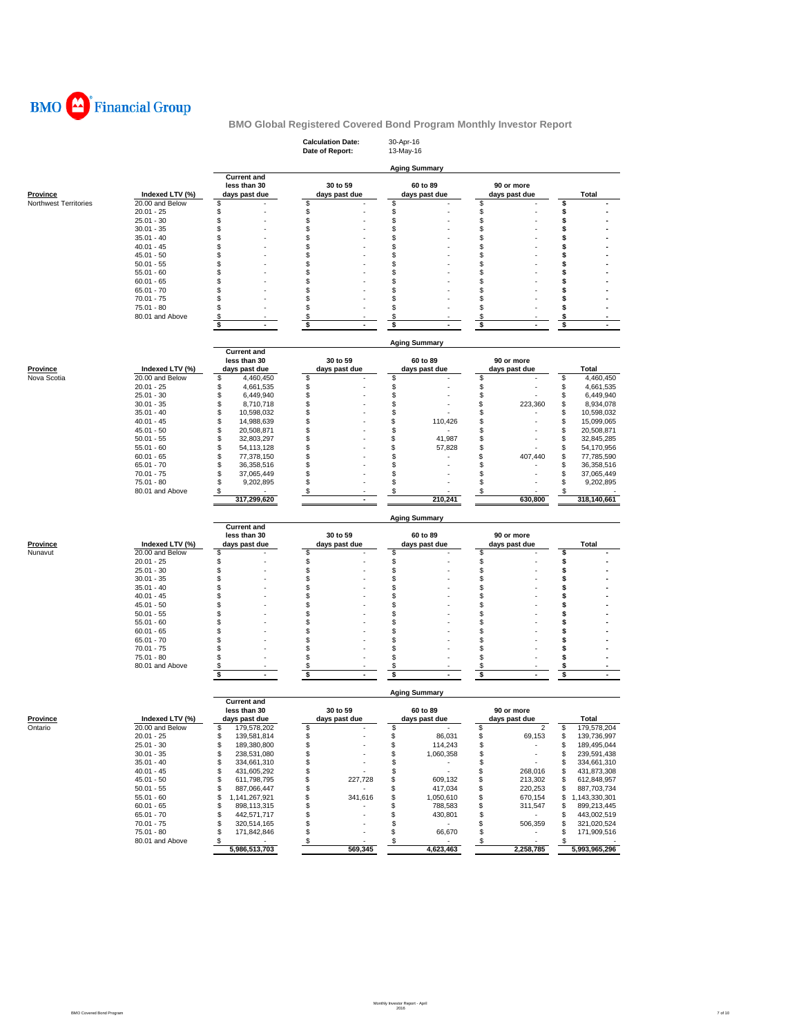

|                       |                                 |                                        | <b>Calculation Date:</b><br>Date of Report: | 30-Apr-16<br>13-May-16         |                                   |                                        |
|-----------------------|---------------------------------|----------------------------------------|---------------------------------------------|--------------------------------|-----------------------------------|----------------------------------------|
|                       |                                 |                                        |                                             | <b>Aging Summary</b>           |                                   |                                        |
|                       |                                 | <b>Current and</b><br>less than 30     | 30 to 59                                    | 60 to 89                       | 90 or more                        |                                        |
| Province              | Indexed LTV (%)                 | days past due                          | days past due                               | days past due                  | days past due                     | Total                                  |
| Northwest Territories | 20.00 and Below                 | \$                                     | \$                                          | \$                             | \$                                | \$                                     |
|                       | $20.01 - 25$<br>$25.01 - 30$    | \$<br>\$                               | \$<br>\$                                    | \$<br>\$                       | \$<br>\$                          | \$<br>\$                               |
|                       | $30.01 - 35$                    | \$                                     | \$                                          | \$                             | \$                                | \$                                     |
|                       | $35.01 - 40$                    | \$                                     | \$                                          | \$                             | \$                                | \$                                     |
|                       | $40.01 - 45$                    | \$                                     | \$                                          | \$                             | \$                                | \$                                     |
|                       | 45.01 - 50                      | \$                                     | \$                                          | \$                             | \$                                | \$                                     |
|                       | $50.01 - 55$<br>55.01 - 60      | \$<br>\$                               | \$<br>\$                                    | S<br>\$                        | S<br>\$                           | \$<br>\$                               |
|                       | $60.01 - 65$                    | \$                                     | \$                                          | \$                             | \$                                | \$                                     |
|                       | 65.01 - 70                      | \$                                     | \$                                          | \$                             | \$                                | \$                                     |
|                       | $70.01 - 75$                    | \$                                     | \$                                          | \$                             | \$                                | \$                                     |
|                       | 75.01 - 80                      | \$                                     | \$                                          | \$                             | \$                                | \$                                     |
|                       | 80.01 and Above                 | \$<br>\$                               | \$<br>÷,                                    | \$                             | \$                                | \$                                     |
|                       |                                 |                                        | \$                                          | \$                             | \$                                | \$                                     |
|                       |                                 |                                        |                                             | <b>Aging Summary</b>           |                                   |                                        |
|                       |                                 | <b>Current and</b><br>less than 30     | 30 to 59                                    | 60 to 89                       | 90 or more                        |                                        |
| <b>Province</b>       | Indexed LTV (%)                 | days past due                          | days past due                               | days past due                  | days past due                     | Total                                  |
| Nova Scotia           | 20.00 and Below                 | \$<br>4,460,450                        | \$                                          | \$                             | \$                                | \$<br>4,460,450                        |
|                       | $20.01 - 25$                    | \$<br>4,661,535                        | \$                                          | \$                             | \$                                | \$<br>4,661,535                        |
|                       | $25.01 - 30$                    | \$<br>6,449,940                        | \$                                          | \$                             | \$                                | \$<br>6,449,940                        |
|                       | $30.01 - 35$<br>$35.01 - 40$    | \$<br>8,710,718                        | \$                                          | \$<br>\$                       | \$<br>223,360<br>\$               | \$<br>8,934,078                        |
|                       | $40.01 - 45$                    | \$<br>10,598,032<br>\$<br>14,988,639   | \$<br>\$                                    | 110,426<br>\$                  | S                                 | \$<br>10,598,032<br>\$<br>15,099,065   |
|                       | 45.01 - 50                      | \$<br>20,508,871                       | \$                                          | \$                             | S                                 | \$<br>20,508,871                       |
|                       | $50.01 - 55$                    | \$<br>32,803,297                       | \$                                          | \$<br>41,987                   | \$                                | \$<br>32,845,285                       |
|                       | $55.01 - 60$                    | \$<br>54, 113, 128                     | \$                                          | \$<br>57,828                   | \$                                | \$<br>54,170,956                       |
|                       | $60.01 - 65$                    | \$<br>77,378,150                       | \$<br>\$                                    | \$                             | \$<br>407,440<br>\$               | \$<br>77,785,590                       |
|                       | $65.01 - 70$<br>$70.01 - 75$    | \$<br>36,358,516<br>\$<br>37,065,449   | \$                                          | \$<br>\$                       | \$                                | \$<br>36,358,516<br>\$<br>37,065,449   |
|                       | 75.01 - 80                      | \$<br>9,202,895                        | \$                                          | \$                             | \$                                | \$<br>9,202,895                        |
|                       | 80.01 and Above                 | \$                                     | \$                                          | \$                             | \$                                | \$                                     |
|                       |                                 | 317,299,620                            | $\overline{a}$                              | 210,241                        | 630,800                           | 318,140,661                            |
|                       |                                 | <b>Current and</b>                     |                                             | <b>Aging Summary</b>           |                                   |                                        |
|                       |                                 | less than 30                           | 30 to 59                                    | 60 to 89                       | 90 or more                        |                                        |
| <b>Province</b>       | Indexed LTV (%)                 | days past due                          | days past due                               | days past due                  | days past due                     | Total                                  |
| Nunavut               | 20.00 and Below                 | \$                                     | \$                                          | \$                             | \$                                | \$                                     |
|                       | $20.01 - 25$<br>25.01 - 30      | \$<br>\$                               | \$<br>\$                                    | \$<br>\$                       | \$<br>\$                          | \$<br>\$                               |
|                       | $30.01 - 35$                    | \$                                     | \$                                          | \$                             | \$                                | \$                                     |
|                       | $35.01 - 40$                    | \$                                     | \$                                          | \$                             | \$                                | \$                                     |
|                       | 40.01 - 45                      | \$                                     | \$                                          | \$                             | \$                                | \$                                     |
|                       | $45.01 - 50$                    | \$                                     | \$                                          | \$                             | \$                                | \$                                     |
|                       | $50.01 - 55$<br>$55.01 - 60$    | \$<br>\$                               | \$<br>\$                                    | \$<br>\$                       | \$<br>\$                          | \$<br>\$                               |
|                       | $60.01 - 65$                    | \$                                     | \$                                          | \$                             | \$                                | \$                                     |
|                       | 65.01 - 70                      | \$                                     | \$                                          | \$                             | S                                 | \$                                     |
|                       | $70.01 - 75$                    | \$                                     | \$                                          | \$                             | \$                                | \$                                     |
|                       | 75.01 - 80<br>80.01 and Above   | \$<br>\$                               | \$<br>\$                                    | \$<br>\$                       | \$<br>\$                          | \$                                     |
|                       |                                 | \$<br>$\sim$                           | \$<br>$\sim$                                | \$<br>$\sim$                   | \$<br>$\blacksquare$              | \$<br>\$<br>$\sim$                     |
|                       |                                 |                                        |                                             |                                |                                   |                                        |
|                       |                                 | <b>Current and</b>                     |                                             | Aging Summary                  |                                   |                                        |
|                       |                                 | less than 30                           | 30 to 59                                    | 60 to 89                       | 90 or more                        |                                        |
| <b>Province</b>       | Indexed LTV (%)                 | days past due                          | days past due                               | days past due                  | days past due<br>$\boldsymbol{2}$ | Total                                  |
| Ontario               | 20.00 and Below<br>$20.01 - 25$ | \$<br>179,578,202<br>\$<br>139,581,814 | \$<br>\$                                    | \$<br>86,031<br>\$             | \$<br>\$<br>69,153                | \$<br>179,578,204<br>\$<br>139,736,997 |
|                       | $25.01 - 30$                    | \$<br>189,380,800                      | \$<br>×                                     | \$<br>114,243                  | \$                                | \$<br>189,495,044                      |
|                       | $30.01 - 35$                    | \$<br>238,531,080                      | \$                                          | \$<br>1,060,358                | \$                                | \$<br>239,591,438                      |
|                       | $35.01 - 40$                    | \$<br>334,661,310                      | \$<br>ä,                                    | \$<br>٠                        | \$<br>$\overline{\phantom{a}}$    | 334,661,310<br>\$                      |
|                       | $40.01 - 45$                    | \$<br>431,605,292<br>611,798,795       | \$                                          | \$                             | \$<br>268,016                     | \$<br>431,873,308                      |
|                       | $45.01 - 50$<br>$50.01 - 55$    | \$<br>\$<br>887,066,447                | \$<br>227,728<br>\$                         | \$<br>609,132<br>\$<br>417,034 | \$<br>213,302<br>\$<br>220,253    | 612,848,957<br>\$<br>\$<br>887,703,734 |
|                       | $55.01 - 60$                    | \$<br>1,141,267,921                    | \$<br>341,616                               | \$<br>1,050,610                | \$<br>670,154                     | \$<br>1,143,330,301                    |
|                       | $60.01 - 65$                    | \$<br>898,113,315                      | \$                                          | \$<br>788,583                  | \$<br>311,547                     | \$<br>899,213,445                      |
|                       | $65.01 - 70$                    | \$<br>442,571,717                      | \$                                          | \$<br>430,801                  | \$<br>$\sim$                      | \$<br>443,002,519                      |
|                       | $70.01 - 75$<br>75.01 - 80      | \$<br>320,514,165<br>\$<br>171,842,846 | \$<br>\$                                    | \$<br>$\sim$<br>\$<br>66,670   | 506,359<br>\$<br>\$<br>٠          | \$<br>321,020,524<br>\$<br>171,909,516 |
|                       | 80.01 and Above                 | \$<br>$\sim$                           | \$                                          | \$<br>٠                        | ÷<br>\$                           | \$                                     |
|                       |                                 | 5,986,513,703                          | 569,345                                     | 4,623,463                      | 2,258,785                         | 5,993,965,296                          |
|                       |                                 |                                        |                                             |                                |                                   |                                        |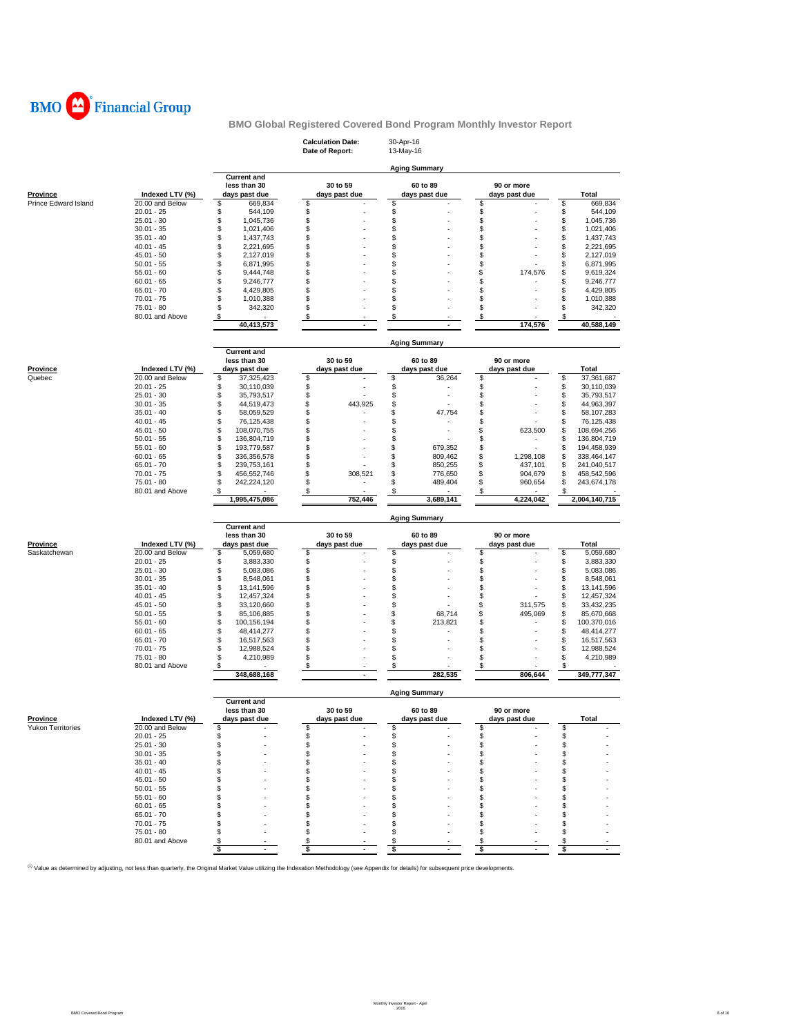

|                           |                                    |                                                     | <b>Calculation Date:</b><br>Date of Report: | 30-Apr-16<br>13-May-16        |                             |                                        |
|---------------------------|------------------------------------|-----------------------------------------------------|---------------------------------------------|-------------------------------|-----------------------------|----------------------------------------|
|                           |                                    |                                                     |                                             | <b>Aging Summary</b>          |                             |                                        |
| <b>Province</b>           | Indexed LTV (%)                    | <b>Current and</b><br>less than 30<br>days past due | 30 to 59<br>days past due                   | 60 to 89<br>days past due     | 90 or more<br>days past due | Total                                  |
| Prince Edward Island      | 20.00 and Below                    | \$<br>669,834                                       | \$                                          | \$                            | \$                          | \$<br>669,834                          |
|                           | $20.01 - 25$                       | \$<br>544,109                                       | \$                                          | \$                            | \$                          | \$<br>544,109                          |
|                           | $25.01 - 30$                       | \$<br>1,045,736                                     | \$                                          | \$                            | \$                          | \$<br>1,045,736                        |
|                           | $30.01 - 35$<br>$35.01 - 40$       | \$<br>1,021,406<br>\$                               | \$                                          | \$<br>\$                      | \$<br>\$                    | \$<br>1,021,406<br>\$                  |
|                           | $40.01 - 45$                       | 1,437,743<br>\$<br>2,221,695                        | \$<br>\$                                    | \$                            | \$                          | 1,437,743<br>\$<br>2,221,695           |
|                           | $45.01 - 50$                       | \$<br>2,127,019                                     | \$                                          | \$                            | \$                          | \$<br>2,127,019                        |
|                           | $50.01 - 55$                       | \$<br>6,871,995                                     | \$                                          | \$                            | \$                          | \$<br>6,871,995                        |
|                           | $55.01 - 60$                       | \$<br>9,444,748                                     | \$                                          | \$                            | \$<br>174,576               | \$<br>9,619,324                        |
|                           | $60.01 - 65$                       | \$<br>9,246,777                                     | \$                                          | \$                            | \$                          | \$<br>9,246,777                        |
|                           | $65.01 - 70$                       | \$<br>4,429,805                                     | \$                                          | \$                            | \$                          | \$<br>4,429,805                        |
|                           | $70.01 - 75$                       | \$<br>1,010,388                                     | \$                                          | \$                            | \$                          | \$<br>1,010,388                        |
|                           | 75.01 - 80<br>80.01 and Above      | \$<br>342,320<br>\$                                 | \$                                          | \$<br>\$                      | \$<br>\$                    | \$<br>342,320<br>\$                    |
|                           |                                    | 40,413,573                                          | \$<br>$\sim$                                | $\sim$                        | 174,576                     | 40,588,149                             |
|                           |                                    |                                                     |                                             | <b>Aging Summary</b>          |                             |                                        |
|                           |                                    | <b>Current</b> and                                  |                                             |                               |                             |                                        |
|                           |                                    | less than 30                                        | 30 to 59                                    | 60 to 89                      | 90 or more                  |                                        |
| <b>Province</b><br>Quebec | Indexed LTV (%)<br>20.00 and Below | days past due<br>\$<br>37,325,423                   | days past due<br>\$                         | days past due<br>\$<br>36,264 | days past due<br>\$         | Total<br>\$<br>37,361,687              |
|                           | $20.01 - 25$                       | \$<br>30,110,039                                    | \$                                          | \$                            | \$                          | \$<br>30,110,039                       |
|                           | $25.01 - 30$                       | \$<br>35,793,517                                    | \$                                          | \$                            | \$                          | \$<br>35,793,517                       |
|                           | $30.01 - 35$                       | \$<br>44,519,473                                    | \$<br>443,925                               | \$                            | \$                          | \$<br>44,963,397                       |
|                           | $35.01 - 40$                       | \$<br>58,059,529                                    | \$                                          | \$<br>47,754                  | \$                          | \$<br>58,107,283                       |
|                           | $40.01 - 45$                       | \$<br>76,125,438                                    | \$                                          | \$                            | \$                          | \$<br>76,125,438                       |
|                           | $45.01 - 50$                       | \$<br>108,070,755                                   | \$                                          | \$                            | \$<br>623,500               | \$<br>108,694,256                      |
|                           | $50.01 - 55$<br>$55.01 - 60$       | \$<br>136,804,719<br>\$<br>193,779,587              | \$<br>\$                                    | \$<br>679,352<br>\$           | \$<br>\$                    | \$<br>136,804,719<br>\$<br>194,458,939 |
|                           | $60.01 - 65$                       | \$<br>336, 356, 578                                 | \$                                          | 809,462<br>\$                 | \$<br>1,298,108             | \$<br>338,464,147                      |
|                           | $65.01 - 70$                       | \$<br>239,753,161                                   | \$                                          | \$<br>850,255                 | \$<br>437,101               | \$<br>241,040,517                      |
|                           | $70.01 - 75$                       | \$<br>456,552,746                                   | \$<br>308,521                               | \$<br>776,650                 | \$<br>904,679               | \$<br>458,542,596                      |
|                           | 75.01 - 80                         | \$<br>242,224,120                                   | \$                                          | \$<br>489,404                 | \$<br>960,654               | \$<br>243,674,178                      |
|                           | 80.01 and Above                    | \$<br>1,995,475,086                                 | \$<br>752.446                               | \$<br>3,689,141               | \$<br>4,224,042             | \$<br>2,004,140,715                    |
|                           |                                    |                                                     |                                             |                               |                             |                                        |
|                           |                                    |                                                     |                                             |                               |                             |                                        |
|                           |                                    |                                                     |                                             | <b>Aging Summary</b>          |                             |                                        |
|                           |                                    | <b>Current and</b>                                  |                                             |                               |                             |                                        |
| Province                  | Indexed LTV (%)                    | less than 30<br>days past due                       | 30 to 59<br>days past due                   | 60 to 89<br>days past due     | 90 or more<br>days past due | Total                                  |
| Saskatchewan              | 20.00 and Below                    | \$<br>5,059,680                                     | \$                                          | \$                            | \$                          | \$<br>5,059,680                        |
|                           | $20.01 - 25$                       | \$<br>3,883,330                                     | \$                                          | \$                            | \$                          | \$<br>3,883,330                        |
|                           | $25.01 - 30$                       | \$<br>5,083,086                                     | \$                                          | \$                            | \$                          | \$<br>5,083,086                        |
|                           | $30.01 - 35$                       | \$<br>8,548,061                                     | \$                                          | \$                            | \$                          | \$<br>8,548,061                        |
|                           | $35.01 - 40$                       | \$<br>13,141,596                                    | \$                                          | \$                            | \$<br>\$                    | \$<br>13,141,596                       |
|                           | $40.01 - 45$<br>$45.01 - 50$       | \$<br>12,457,324<br>\$<br>33,120,660                | \$<br>\$                                    | \$<br>\$                      | \$<br>311,575               | \$<br>12,457,324<br>\$<br>33,432,235   |
|                           | $50.01 - 55$                       | \$<br>85,106,885                                    | \$                                          | \$<br>68,714                  | \$<br>495,069               | \$<br>85,670,668                       |
|                           | $55.01 - 60$                       | \$<br>100,156,194                                   | \$                                          | \$<br>213,821                 | \$                          | \$<br>100,370,016                      |
|                           | $60.01 - 65$                       | \$<br>48,414,277                                    | \$                                          | \$                            | \$                          | \$<br>48,414,277                       |
|                           | 65.01 - 70                         | \$<br>16,517,563                                    | \$                                          | \$                            | \$                          | \$<br>16,517,563                       |
|                           | $70.01 - 75$                       | \$<br>12,988,524                                    | \$                                          | \$                            | \$<br>\$                    | \$<br>12,988,524                       |
|                           | 75.01 - 80<br>80.01 and Above      | \$<br>4,210,989<br>\$                               | \$<br>\$                                    | \$<br>\$                      | \$                          | \$<br>4,210,989<br>\$                  |
|                           |                                    | 348,688,168                                         | $\mathbf{r}$                                | 282,535                       | 806,644                     | 349,777,347                            |
|                           |                                    |                                                     |                                             | <b>Aging Summary</b>          |                             |                                        |
|                           |                                    | <b>Current and</b><br>less than 30                  | 30 to 59                                    | 60 to 89                      | 90 or more                  |                                        |
| Province                  | Indexed LTV (%)                    |                                                     |                                             |                               |                             |                                        |
| <b>Yukon Territories</b>  | 20.00 and Below                    | \$                                                  |                                             | \$                            | \$                          | \$                                     |
|                           | $20.01 - 25$                       | \$                                                  |                                             | \$                            | \$                          | \$                                     |
|                           | $25.01 - 30$                       | \$                                                  | \$<br>\$                                    | \$                            | \$                          | \$                                     |
|                           | $30.01 - 35$                       | \$<br>\$                                            | \$                                          | \$<br>\$                      | S                           | \$                                     |
|                           | $35.01 - 40$<br>$40.01 - 45$       | \$                                                  | \$<br>\$                                    | \$                            | \$<br>S                     | \$<br>\$                               |
|                           | $45.01 - 50$                       | \$                                                  | \$                                          | \$                            | \$                          | \$                                     |
|                           | $50.01 - 55$                       | \$                                                  | \$                                          | S                             | S                           | \$                                     |
|                           | $55.01 - 60$                       | \$                                                  | \$                                          | S                             | \$                          | \$                                     |
|                           | $60.01 - 65$                       | \$                                                  | \$                                          | S                             | \$                          | \$                                     |
|                           | $65.01 - 70$                       |                                                     | \$                                          | \$                            | \$                          | \$                                     |
|                           | $70.01 - 75$<br>75.01 - 80         |                                                     | \$                                          | \$                            |                             | \$<br>\$                               |
|                           | 80.01 and Above                    | \$                                                  | \$<br>\$<br>\$                              | \$                            |                             | \$<br>\$                               |

<sup>(1)</sup> Value as determined by adjusting, not less than quarterly, the Original Market Value utilizing the Indexation Methodology (see Appendix for details) for subsequent price developments.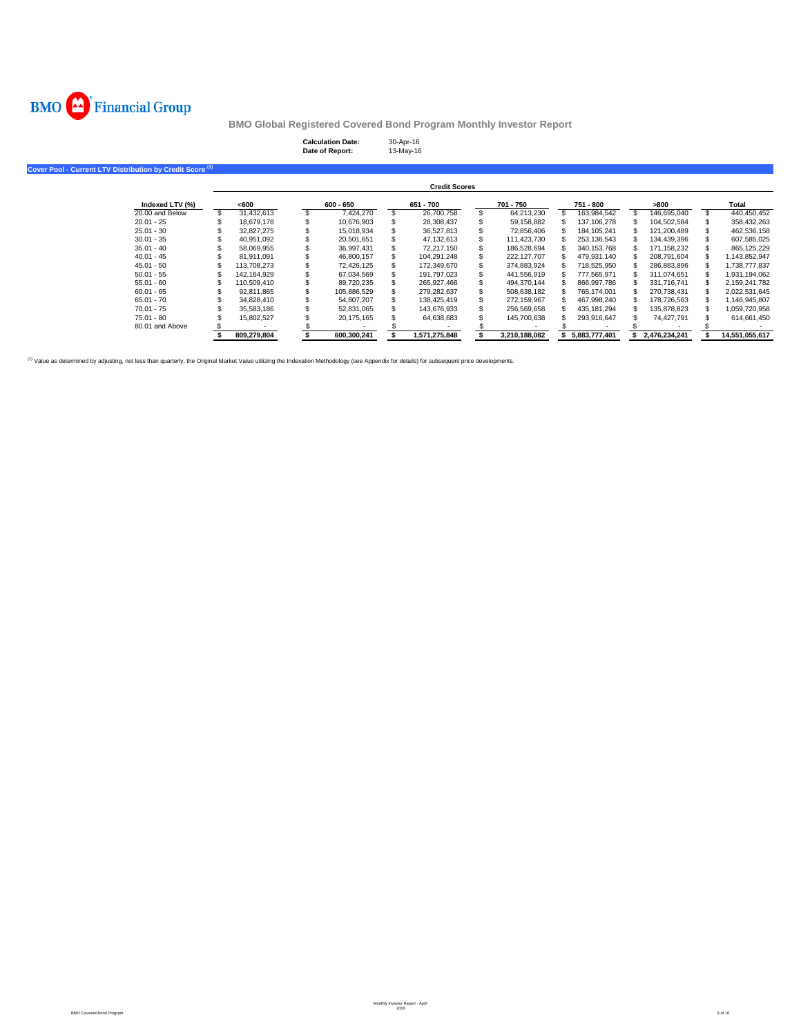

| <b>Calculation Date:</b> | 30-Apr-16 |
|--------------------------|-----------|
| Date of Report:          | 13-May-16 |

| Cover Pool - Current LTV Distribution by Credit Score <sup>(1)</sup> |                      |             |  |             |  |               |  |               |  |               |  |               |                |
|----------------------------------------------------------------------|----------------------|-------------|--|-------------|--|---------------|--|---------------|--|---------------|--|---------------|----------------|
|                                                                      | <b>Credit Scores</b> |             |  |             |  |               |  |               |  |               |  |               |                |
| Indexed LTV (%)                                                      |                      | <600        |  | $600 - 650$ |  | 651 - 700     |  | 701 - 750     |  | 751 - 800     |  | >800          | Total          |
| 20,00 and Below                                                      |                      | 31,432,613  |  | 7.424.270   |  | 26,700,758    |  | 64,213,230    |  | 163.984.542   |  | 146.695.040   | 440,450,452    |
| $20.01 - 25$                                                         |                      | 18,679,178  |  | 10,676,903  |  | 28,308,437    |  | 59,158,882    |  | 137,106,278   |  | 104,502,584   | 358,432,263    |
| $25.01 - 30$                                                         |                      | 32,827,275  |  | 15,018,934  |  | 36.527.813    |  | 72,856,406    |  | 184.105.241   |  | 121.200.489   | 462,536,158    |
| $30.01 - 35$                                                         |                      | 40.951.092  |  | 20,501,651  |  | 47,132,613    |  | 111,423,730   |  | 253,136,543   |  | 134.439.396   | 607,585,025    |
| $35.01 - 40$                                                         |                      | 58.069.955  |  | 36.997.431  |  | 72.217.150    |  | 186,528,694   |  | 340.153.768   |  | 171.158.232   | 865,125,229    |
| $40.01 - 45$                                                         |                      | 81.911.091  |  | 46,800,157  |  | 104.291.248   |  | 222,127,707   |  | 479,931,140   |  | 208.791.604   | 1,143,852,947  |
| $45.01 - 50$                                                         |                      | 113,708,273 |  | 72,426,125  |  | 172,349,670   |  | 374,883,924   |  | 718,525,950   |  | 286,883,896   | 1,738,777,837  |
| $50.01 - 55$                                                         |                      | 142,164,929 |  | 67,034,569  |  | 191.797.023   |  | 441,556,919   |  | 777,565,971   |  | 311,074,651   | 1,931,194,062  |
| $55.01 - 60$                                                         |                      | 110,509,410 |  | 89,720,235  |  | 265,927,466   |  | 494,370,144   |  | 866,997,786   |  | 331.716.741   | 2,159,241,782  |
| $60.01 - 65$                                                         |                      | 92,811,865  |  | 105,886,529 |  | 279,282,637   |  | 508,638,182   |  | 765,174,001   |  | 270,738,431   | 2,022,531,645  |
| $65.01 - 70$                                                         |                      | 34,828,410  |  | 54,807,207  |  | 138.425.419   |  | 272,159,967   |  | 467,998,240   |  | 178,726,563   | 1,146,945,807  |
| $70.01 - 75$                                                         |                      | 35,583,186  |  | 52,831,065  |  | 143.676.933   |  | 256,569,658   |  | 435,181,294   |  | 135.878.823   | 1,059,720,958  |
| $75.01 - 80$                                                         |                      | 15.802.527  |  | 20,175,165  |  | 64,638,683    |  | 145,700,638   |  | 293,916,647   |  | 74.427.791    | 614,661,450    |
| 80.01 and Above                                                      |                      |             |  |             |  |               |  |               |  |               |  |               |                |
|                                                                      |                      | 809.279.804 |  | 600.300.241 |  | 1,571,275,848 |  | 3,210,188,082 |  | 5.883.777.401 |  | 2.476.234.241 | 14,551,055,617 |

<sup>(1)</sup> Value as determined by adjusting, not less than quarterly, the Original Market Value utilizing the Indexation Methodology (see Appendix for details) for subsequent price developments.